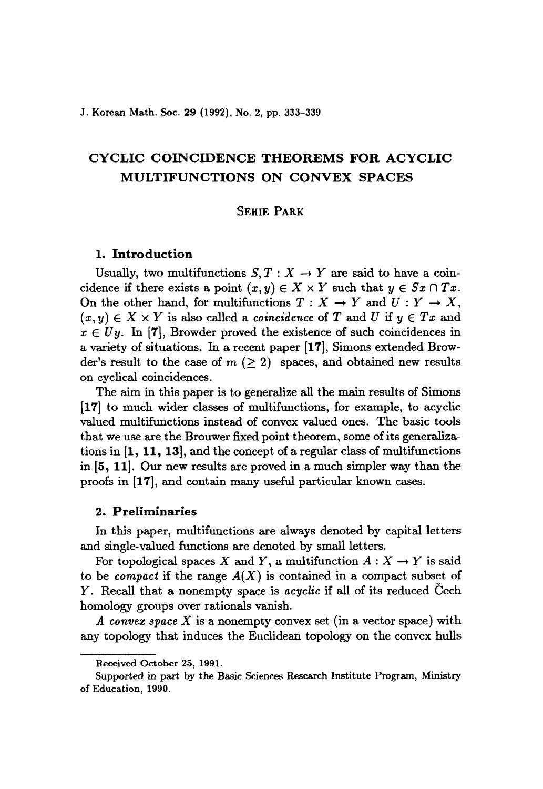J. Korean Math. Soc. 29 (1992), No. 2, pp. 333-339

# CYCLIC COINCIDENCE THEOREMS FOR ACYCLIC MULTIFUNCTIONS ON CONVEX SPACES

# SEHIE PARK

### 1. Introduction

Usually, two multifunctions  $S, T : X \to Y$  are said to have a coincidence if there exists a point  $(x, y) \in X \times Y$  such that  $y \in S_x \cap Tx$ . On the other hand, for multifunctions  $T : X \to Y$  and  $U : Y \to X$ ,  $(x, y) \in X \times Y$  is also called a *coincidence* of *T* and *U* if  $y \in Tx$  and  $x \in U_y$ . In [7], Browder proved the existence of such coincidences in a variety of situations. In a recent paper [17], Simons extended Browder's result to the case of  $m \ (\geq 2)$  spaces, and obtained new results on cyclical coincidences.

The aim in this paper is to generalize all the main results of Simons [17] to much wider classes of multifunctions, for example, to acyclic valued multifunctions instead of convex valued ones. The basic tools that we use are the Brouwer fixed point theorem, some of its generalizations in [1, 11, 13], and the concept of a regular class of multifunctions in [5, 11]. Our new results are proved in a much simpler way than the proofs in [17], and contain many useful particular known cases.

## 2. Preliminaries

In this paper, multifunctions are always denoted by capital letters and single-valued functions are denoted by small letters.

For topological spaces X and Y, a multifunction  $A: X \to Y$  is said to be *compact* if the range  $A(X)$  is contained in a compact subset of Y. Recall that a nonempty space is *acyclic* if all of its reduced Cech homology groups over rationals vanish.

*A convex space* X is a nonempty convex set (in a vector space) with any topology that induces the Euclidean topology on the convex hulls

Received October 25, 1991.

Supported in part by the Basic Sciences Research Institute Program, Ministry of Education, 1990.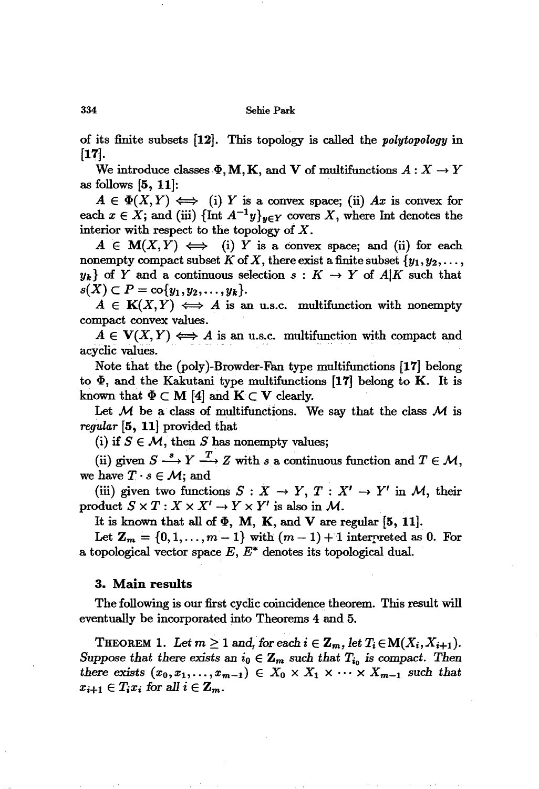#### 334 Sehie Park

of its finite subsets  $[12]$ . This topology is called the *polytopology* in [17].

We introduce classes  $\Phi$ , M, K, and V of multifunctions  $A: X \to Y$ as follows  $[5, 11]$ :

 $A \in \Phi(X, Y) \iff$  (i) Y is a convex space; (ii) Ax is convex for each  $x \in X$ ; and (iii)  $\{\text{Int } A^{-1}y\}_{y \in Y}$  covers X, where Int denotes the interior with respect to the topology of  $X$ .

 $A \in M(X,Y) \iff$  (i) *Y* is a convex space; and (ii) for each nonempty compact subset K of X, there exist a finite subset  $\{y_1, y_2, \ldots,$  $y_k$  of Y and a continuous selection  $s: K \to Y$  of  $A|K$  such that  $s(X) \subset P = \text{co} \{y_1, y_2, \ldots, y_k\}.$ 

 $A \in K(X, Y) \iff A$  is an u.s.c. multifunction with nonempty compact convex values.

 $A \in V(X, Y) \iff A$  is an u.s.c. multifunction with compact and acyclic values.

Note that the (poly)-Browder-Fan type multifunctions [17] belong to  $\Phi$ , and the Kakutani type multifunctions [17] belong to K. It is known that  $\Phi \subset M$  [4] and  $K \subset V$  clearly.

Let *M* be a class of multifunctions. We say that the class *M* is *regular* [5, 11] provided that

(i) if  $S \in \mathcal{M}$ , then S has nonempty values;

(ii) given  $S \stackrel{s}{\longrightarrow} Y \stackrel{T}{\longrightarrow} Z$  with *s* a continuous function and  $T \in \mathcal{M}$ , we have  $T \cdot s \in \mathcal{M}$ ; and

(iii) given two functions  $S: X \to Y, T: X' \to Y'$  in M, their product  $S \times T : X \times X' \to Y \times Y'$  is also in *M*.

It is known that all of  $\Phi$ , M, K, and V are regular [5, 11].

Let  $Z_m = \{0, 1, ..., m-1\}$  with  $(m-1) + 1$  interpreted as 0. For a topological vector space  $E, E^*$  denotes its topological dual.

### 3. Main results

The following is our first cyclic coincidence theorem. This result will eventually be incorporated into Theorems 4 and 5.

THEOREM 1. Let  $m \geq 1$  and, for each  $i \in \mathbb{Z}_m$ , let  $T_i \in M(X_i, X_{i+1})$ . *Suppose that there exists* an  $i_0 \in \mathbb{Z}_m$  *such that*  $T_{i_0}$  *is compact. Then there exists*  $(x_0, x_1, \ldots, x_{m-1}) \in X_0 \times X_1 \times \cdots \times X_{m-1}$  *such that*  $x_{i+1} \in T_i x_i$  for all  $i \in \mathbb{Z}_m$ .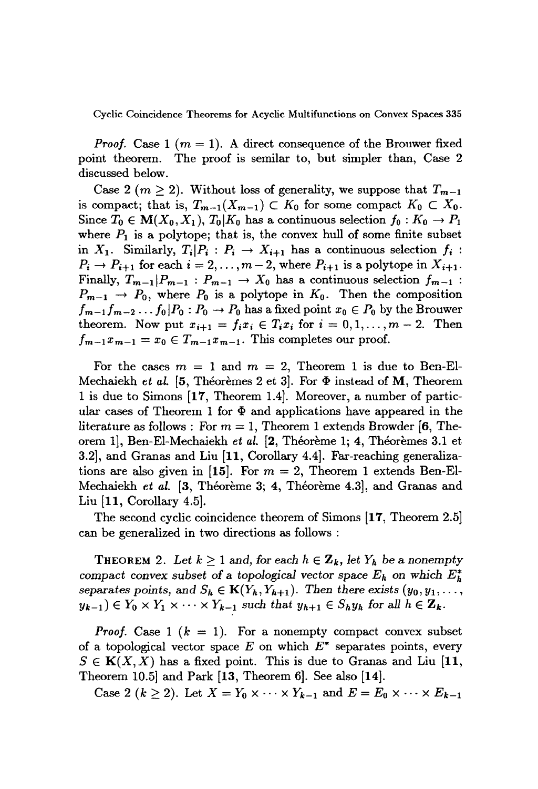Cyclic Coincidence Theorems for Acyclic Multifunctions on Convex Spaces 335

*Proof.* Case 1 ( $m = 1$ ). A direct consequence of the Brouwer fixed point theorem. The proof is semilar to, but simpler than, Case 2 discussed below.

Case 2 ( $m \ge 2$ ). Without loss of generality, we suppose that  $T_{m-1}$ is compact; that is,  $T_{m-1}(X_{m-1}) \subset K_0$  for some compact  $K_0 \subset X_0$ . Since  $T_0 \in M(X_0, X_1)$ ,  $T_0|K_0$  has a continuous selection  $f_0: K_0 \to P_1$ where  $P_1$  is a polytope; that is, the convex hull of some finite subset in  $X_1$ . Similarly,  $T_i|P_i : P_i \to X_{i+1}$  has a continuous selection  $f_i$ :  $P_i \rightarrow P_{i+1}$  for each  $i = 2, ..., m-2$ , where  $P_{i+1}$  is a polytope in  $X_{i+1}$ . Finally,  $T_{m-1}|P_{m-1}: P_{m-1} \to X_0$  has a continuous selection  $f_{m-1}:$  $P_{m-1} \rightarrow P_0$ , where  $P_0$  is a polytope in  $K_0$ . Then the composition  $f_{m-1}f_{m-2}\ldots f_0|P_0:P_0\to P_0$  has a fixed point  $x_0\in P_0$  by the Brouwer theorem. Now put  $x_{i+1} = f_i x_i \in T_i x_i$  for  $i = 0, 1, ..., m - 2$ . Then  $f_{m-1}x_{m-1}=x_0 \in T_{m-1}x_{m-1}$ . This completes our proof.

For the cases  $m = 1$  and  $m = 2$ , Theorem 1 is due to Ben-El-Mechaiekh *et al.* [5, Théorèmes 2 et 3]. For  $\Phi$  instead of M, Theorem 1 is due to Simons [17, Theorem 1.4]. Moreover, a number of particular cases of Theorem 1 for  $\Phi$  and applications have appeared in the literature as follows: For  $m = 1$ , Theorem 1 extends Browder [6, Theorem 1], Ben-El-Mechaiekh *et al.* [2, Théorème 1; 4, Théorèmes 3.1 et 3.2], and Granas and Liu [11, Corollary 4.4]. Far-reaching generalizations are also given in [15]. For  $m = 2$ , Theorem 1 extends Ben-El-Mechaiekh *et al.* [3, Théorème 3; 4, Théorème 4.3], and Granas and Liu [11, Corollary 4.5].

The second cyclic coincidence theorem of Simons [17, Theorem 2.5] can be generalized in two directions as follows :

THEOREM 2. Let  $k \geq 1$  and, for each  $h \in \mathbb{Z}_k$ , let  $Y_h$  be a nonempty *compact convex subset of a topological vector space*  $E_h$  on which  $E_h^*$ separates points, and  $S_h \in K(Y_h, Y_{h+1})$ . Then there exists  $(y_0, y_1, \ldots,$  $y_{k-1}$ )  $\in Y_0 \times Y_1 \times \cdots \times Y_{k-1}$  *such that*  $y_{k+1} \in S_h y_h$  *for all*  $h \in \mathbb{Z}_k$ *.* 

*Proof.* Case 1  $(k = 1)$ . For a nonempty compact convex subset of a topological vector space  $E$  on which  $E^*$  separates points, every  $S \in K(X, X)$  has a fixed point. This is due to Granas and Liu [11, Theorem 10.5] and Park [13, Theorem 6]. See also [14].

Case 2  $(k \ge 2)$ . Let  $X = Y_0 \times \cdots \times Y_{k-1}$  and  $E = E_0 \times \cdots \times E_{k-1}$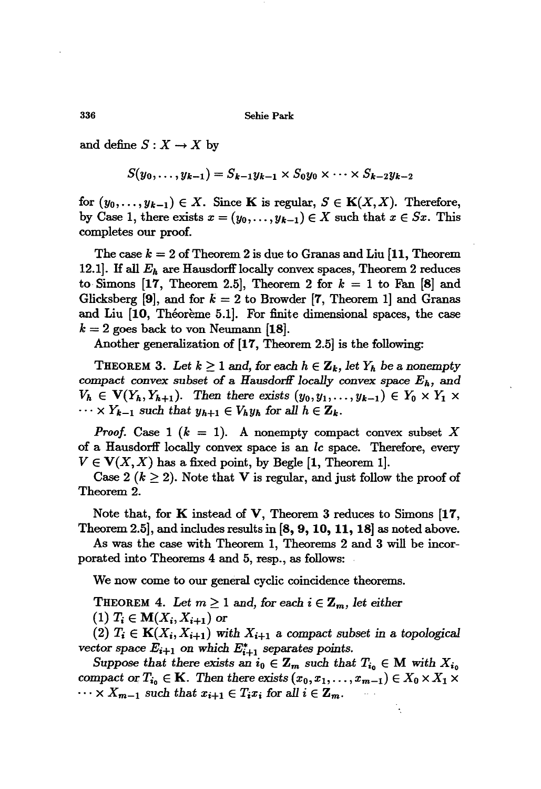Sehie Park

and define  $S: X \to X$  by

$$
S(y_0,\ldots,y_{k-1})=S_{k-1}y_{k-1}\times S_0y_0\times\cdots\times S_{k-2}y_{k-2}
$$

for  $(y_0, \ldots, y_{k-1}) \in X$ . Since **K** is regular,  $S \in$  **K** $(X, X)$ . Therefore, by Case 1, there exists  $x = (y_0, \ldots, y_{k-1}) \in X$  such that  $x \in S_x$ . This completes our proof.

The case  $k = 2$  of Theorem 2 is due to Granas and Liu  $[11,$  Theorem 12.1]. If all  $E_h$  are Hausdorff locally convex spaces, Theorem 2 reduces to Simons  $[17,$  Theorem 2.5, Theorem 2 for  $k = 1$  to Fan  $[8]$  and Glicksberg  $[9]$ , and for  $k = 2$  to Browder  $[7,$  Theorem 1] and Granas and Liu  $[10,$  Theoreme 5.1]. For finite dimensional spaces, the case  $k = 2$  goes back to von Neumann [18].

Another generalization of [17, Theorem 2.5] is the following:

THEOREM 3. Let  $k \geq 1$  and, for each  $h \in \mathbb{Z}_k$ , let  $Y_h$  be a nonempty compact *convex subset* of a *HausdorfI locally convex* space *Eh, and*  $V_h \in V(Y_h, Y_{h+1})$ . Then there exists  $(y_0, y_1, \ldots, y_{k-1}) \in Y_0 \times Y_1 \times Y_k$  $\dots \times Y_{k-1}$  *such that*  $y_{k+1} \in V_h y_h$  for all  $h \in \mathbb{Z}_k$ .

*Proof.* Case 1  $(k = 1)$ . A nonempty compact convex subset X of a Hausdorff locally convex space is an *lc* space. Therefore, every  $V \in V(X, X)$  has a fixed point, by Begle [1, Theorem 1].

Case 2 ( $k \geq 2$ ). Note that V is regular, and just follow the proof of Theorem 2.

Note that, for K instead of V, Theorem 3 reduces to Simons [17, Theorem 2.5], and includes results in [S, 9, 10, 11, 18] as noted above.

As was the case with Theorem 1, Theorems 2 and 3 will be incorporated into Theorems 4 and 5, resp., as follows:

We now come to our general cyclic coincidence theorems.

**THEOREM** 4. Let  $m \geq 1$  and, for each  $i \in \mathbb{Z}_m$ , let either  $(1)$   $T_i \in M(X_i, X_{i+1})$  or

(2)  $T_i \in K(X_i, X_{i+1})$  with  $X_{i+1}$  a compact subset in a topological *vector space*  $E_{i+1}$  *on which*  $E_{i+1}^*$  *separates points.* 

*Suppose that there exists an*  $i_0 \in \mathbb{Z}_m$  *such that*  $T_{i_0} \in M$  with  $X_{i_0}$ *compact* or  $T_{i_0} \in \mathbf{K}$ . Then there exists  $(x_0, x_1, \ldots, x_{m-1}) \in X_0 \times X_1 \times X_m$  $\dots \times X_{m-1}$  such that  $x_{i+1} \in T_i x_i$  for all  $i \in \mathbb{Z}_m$ .

336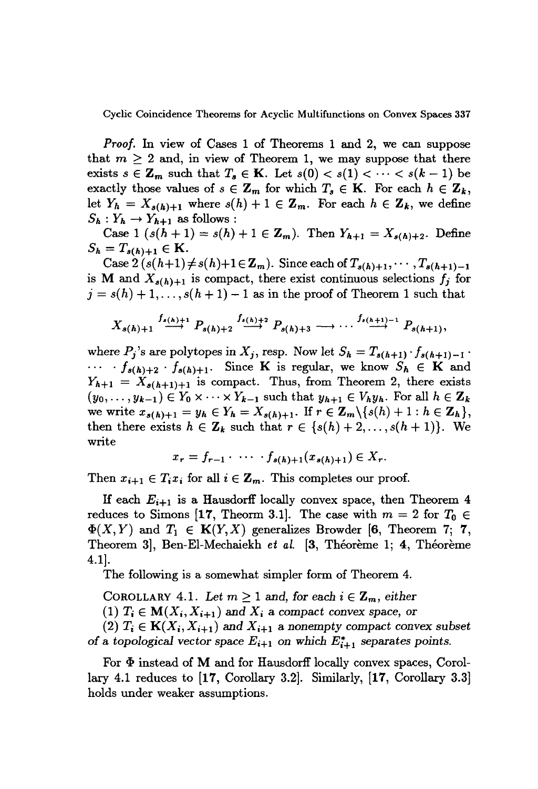Cyclic Coincidence Theorems for Acyclic Multifunctions on Convex Spaces 337

*Proof.* In view of Cases 1 of Theorems 1 and 2, we can suppose that  $m \geq 2$  and, in view of Theorem 1, we may suppose that there exists  $s \in \mathbb{Z}_m$  such that  $T_s \in \mathbb{K}$ . Let  $s(0) < s(1) < \cdots < s(k-1)$  be exactly those values of  $s \in \mathbb{Z}_m$  for which  $T_s \in \mathbb{K}$ . For each  $h \in \mathbb{Z}_k$ , let  $Y_h = X_{s(h)+1}$  where  $s(h) + 1 \in \mathbb{Z}_m$ . For each  $h \in \mathbb{Z}_k$ , we define  $S_h: Y_h \to Y_{h+1}$  as follows:

Case 1  $(s(h + 1) = s(h) + 1 \in \mathbb{Z}_m$ . Then  $Y_{h+1} = X_{s(h)+2}$ . Define  $S_h = T_{s(h)+1} \in K$ .

Case  $2(s(h+1) \neq s(h)+1 \in \mathbb{Z}_m$ . Since each of  $T_{s(h)+1}, \dots, T_{s(h+1)-1}$ is M and  $X_{s(h)+1}$  is compact, there exist continuous selections  $f_j$  for  $j = s(h) + 1, \ldots, s(h + 1) - 1$  as in the proof of Theorem 1 such that

$$
X_{s(h)+1} \stackrel{f_{s(h)+1}}{\longrightarrow} P_{s(h)+2} \stackrel{f_{s(h)+2}}{\longrightarrow} P_{s(h)+3} \longrightarrow \cdots \stackrel{f_{s(h+1)-1}}{\longrightarrow} P_{s(h+1)},
$$

where  $P_j$ 's are polytopes in  $X_j$ , resp. Now let  $S_h = T_{s(h+1)} \cdot f_{s(h+1)-1}$ .  $\cdots$  *f*<sub>s(h)+2</sub> · *f*<sub>s(h)+1</sub>. Since **K** is regular, we know  $S_h \in \mathbf{K}$  and  $Y_{h+1} = X_{s(h+1)+1}$  is compact. Thus, from Theorem 2, there exists  $(y_0, \ldots, y_{k-1}) \in Y_0 \times \cdots \times Y_{k-1}$  such that  $y_{h+1} \in V_h y_h$ . For all  $h \in \mathbb{Z}_k$ we write  $x_{s(h)+1} = y_h \in Y_h = X_{s(h)+1}$ . If  $r \in \mathbb{Z}_m \setminus \{s(h)+1 : h \in \mathbb{Z}_h\},$ then there exists  $h \in \mathbb{Z}_k$  such that  $r \in \{s(h) + 2, \ldots, s(h+1)\}$ . We write

$$
x_r = f_{r-1} \cdot \cdots \cdot f_{s(h)+1}(x_{s(h)+1}) \in X_r.
$$

Then  $x_{i+1} \in T_i x_i$  for all  $i \in \mathbb{Z}_m$ . This completes our proof.

If each  $E_{i+1}$  is a Hausdorff locally convex space, then Theorem 4 reduces to Simons [17, Theorm 3.1]. The case with  $m = 2$  for  $T_0 \in$  $\Phi(X, Y)$  and  $T_1 \in K(Y, X)$  generalizes Browder [6, Theorem 7; 7, Theorem 3, Ben-El-Mechaiekh *et al.* [3, Théorème 1; 4, Théorème 4.1].

The following is a somewhat simpler form of Theorem 4.

COROLLARY 4.1. Let  $m \geq 1$  and, for each  $i \in \mathbb{Z}_m$ , either

 $(1)$   $T_i \in M(X_i, X_{i+1})$  and  $X_i$  a compact convex space, or

 $(2)$   $T_i \in K(X_i, X_{i+1})$  and  $X_{i+1}$  a nonempty compact convex subset of a topological vector space  $E_{i+1}$  on which  $E_{i+1}^*$  separates points.

For  $\Phi$  instead of M and for Hausdorff locally convex spaces, Corollary 4.1 reduces to [17, Corollary 3.2]. Similarly, [17, Corollary 3.3] holds under weaker assumptions.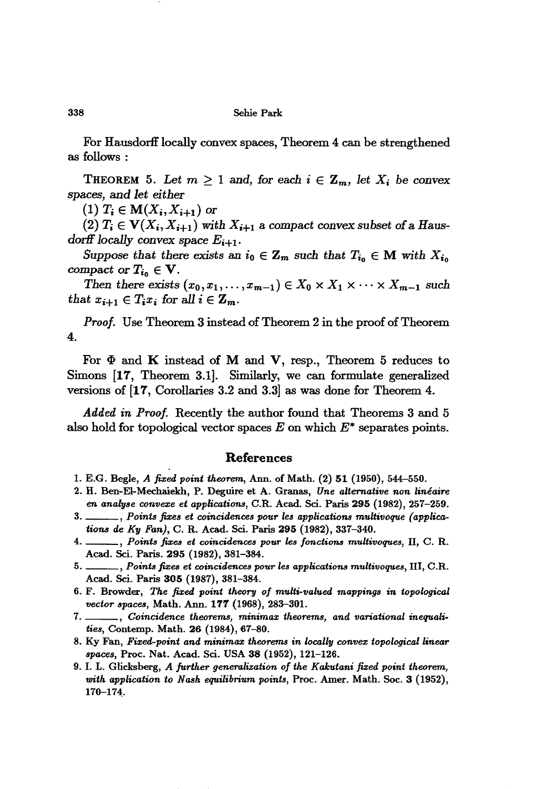#### 338 Sehie Park

For Hausdorff locally convex spaces, Theorem 4 can be strengthened as follows:

THEOREM 5. Let  $m \geq 1$  and, for each  $i \in \mathbb{Z}_m$ , let  $X_i$  be convex spaces, and *let either*

 $(1)$   $T_i \in M(X_i, X_{i+1})$  or

 $(2)$   $T_i \in V(X_i, X_{i+1})$  with  $X_{i+1}$  a compact convex subset of a Haus*dorff locally convex space*  $E_{i+1}$ .

*Suppose that there exists* an  $i_0 \in \mathbb{Z}_m$  *such that*  $T_{i_0} \in \mathbb{M}$  *with*  $X_{i_0}$ compact or  $T_{i_0} \in V$ .

*Then there exists*  $(x_0, x_1, \ldots, x_{m-1}) \in X_0 \times X_1 \times \cdots \times X_{m-1}$  *such that*  $x_{i+1} \in T_i x_i$  *for all*  $i \in \mathbb{Z}_m$ *.* 

*Proof.* Use Theorem 3 instead of Theorem 2 in the proof of Theorem 4.

For  $\Phi$  and K instead of M and V, resp., Theorem 5 reduces to Simons [17, Theorem 3.1]. Similarly, we can formulate generalized versions of [17, Corollaries 3.2 and 3.3] as was done for Theorem 4.

*Added in Proof.* Recently the author found that Theorems 3 and 5 also hold for topological vector spaces  $E$  on which  $E^*$  separates points.

### References

- 1. E.G. Begle, *A fized point theorem,* Ann. of Math. (2) 51 (1950), 544-550.
- 2. H. Ben-EI-Mechaiekh, P. Deguire et A. Granas, *Une alternative non lineaire en* analyse convexe et applications, C.R. Acad. Sci. Paris 295 (1982), 257-259.
- 3. \_\_\_\_\_, *Points* fixes et coincidences pour les applications multivoque (applica*tions de Ky Fan),* C. R. Aead. Sci. Paris 295 (1982), 337-340.
- 4. , *Points fizes et coincidences pour les fonctions multivoques,* n, C. R. Acad. Sci. Paris. 295 (1982), 381-384.
- 5. , *Points fizes et coincidences pour les applications multivoques,* Ill, C.R. Acad. Sci. Paris 305 (1987), 381-384.
- 6. F. Browder, *The fized point theory of multi-'lIalued mappings in topological vector spaces, Math. Ann.* 177 (1968), 283-301.
- 7. , *Coincidence theorems, minimax theorems, and variational inequalities,* Contemp. Math. 26 (1984), 67-80.
- 8. Ky Fan, *Fixed-point and minimax theorems in locally con'llez topological linear* spaces, Proc. Nat. Acad. Sci. USA 38 (1952), 121-126.
- 9. 1. L. Glicksberg, *A further generalization of the Kakutani fized point theorem, with application to Nash equilibrium points,* Proc. Amer. Math. Soc. 3 (1952), 170-174;.